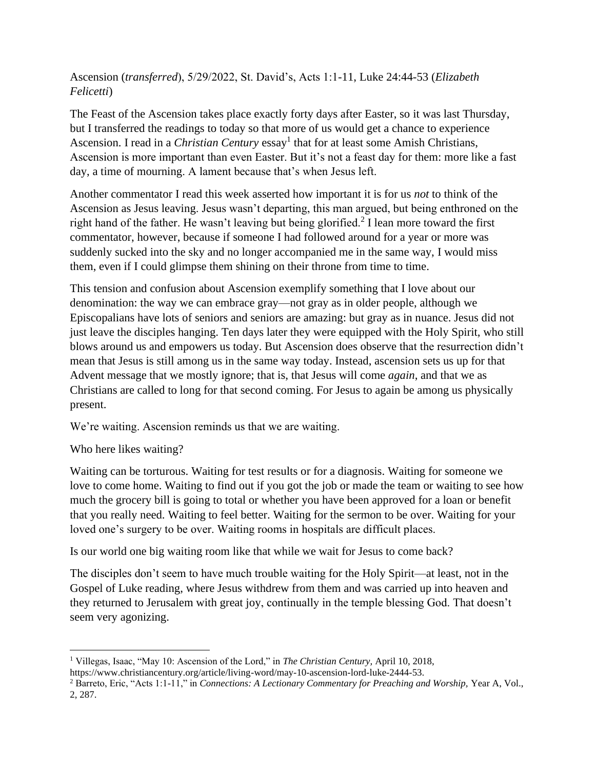## Ascension (*transferred*), 5/29/2022, St. David's, Acts 1:1-11, Luke 24:44-53 (*Elizabeth Felicetti*)

The Feast of the Ascension takes place exactly forty days after Easter, so it was last Thursday, but I transferred the readings to today so that more of us would get a chance to experience Ascension. I read in a *Christian Century* essay<sup>1</sup> that for at least some Amish Christians, Ascension is more important than even Easter. But it's not a feast day for them: more like a fast day, a time of mourning. A lament because that's when Jesus left.

Another commentator I read this week asserted how important it is for us *not* to think of the Ascension as Jesus leaving. Jesus wasn't departing, this man argued, but being enthroned on the right hand of the father. He wasn't leaving but being glorified.<sup>2</sup> I lean more toward the first commentator, however, because if someone I had followed around for a year or more was suddenly sucked into the sky and no longer accompanied me in the same way, I would miss them, even if I could glimpse them shining on their throne from time to time.

This tension and confusion about Ascension exemplify something that I love about our denomination: the way we can embrace gray—not gray as in older people, although we Episcopalians have lots of seniors and seniors are amazing: but gray as in nuance. Jesus did not just leave the disciples hanging. Ten days later they were equipped with the Holy Spirit, who still blows around us and empowers us today. But Ascension does observe that the resurrection didn't mean that Jesus is still among us in the same way today. Instead, ascension sets us up for that Advent message that we mostly ignore; that is, that Jesus will come *again*, and that we as Christians are called to long for that second coming. For Jesus to again be among us physically present.

We're waiting. Ascension reminds us that we are waiting.

Who here likes waiting?

Waiting can be torturous. Waiting for test results or for a diagnosis. Waiting for someone we love to come home. Waiting to find out if you got the job or made the team or waiting to see how much the grocery bill is going to total or whether you have been approved for a loan or benefit that you really need. Waiting to feel better. Waiting for the sermon to be over. Waiting for your loved one's surgery to be over. Waiting rooms in hospitals are difficult places.

Is our world one big waiting room like that while we wait for Jesus to come back?

The disciples don't seem to have much trouble waiting for the Holy Spirit—at least, not in the Gospel of Luke reading, where Jesus withdrew from them and was carried up into heaven and they returned to Jerusalem with great joy, continually in the temple blessing God. That doesn't seem very agonizing.

<sup>1</sup> Villegas, Isaac, "May 10: Ascension of the Lord," in *The Christian Century,* April 10, 2018,

https://www.christiancentury.org/article/living-word/may-10-ascension-lord-luke-2444-53.

<sup>&</sup>lt;sup>2</sup> Barreto, Eric, "Acts 1:1-11," in *Connections: A Lectionary Commentary for Preaching and Worship, Year A, Vol.*, 2, 287.